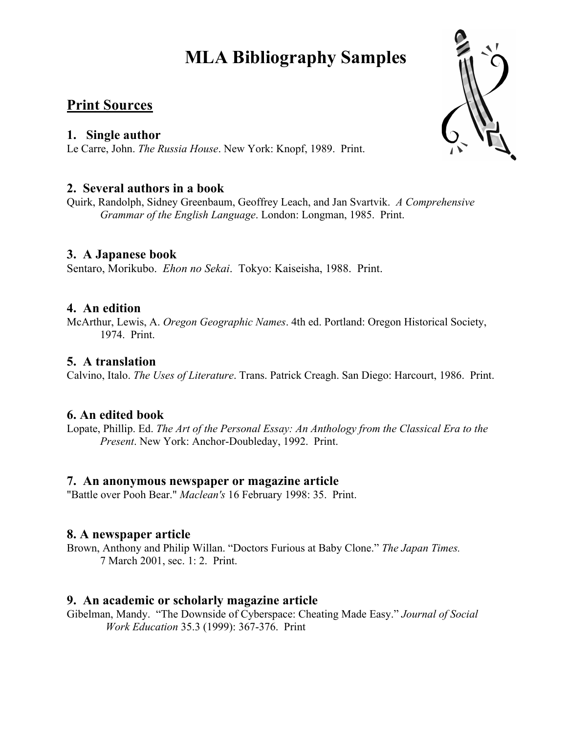# **MLA Bibliography Samples**

# **Print Sources**

### **1. Single author**

Le Carre, John. *The Russia House*. New York: Knopf, 1989. Print.

# **2. Several authors in a book**

Quirk, Randolph, Sidney Greenbaum, Geoffrey Leach, and Jan Svartvik. *A Comprehensive Grammar of the English Language*. London: Longman, 1985. Print.

# **3.****A Japanese book**

Sentaro, Morikubo. *Ehon no Sekai*. Tokyo: Kaiseisha, 1988. Print.

# **4. An edition**

McArthur, Lewis, A. *Oregon Geographic Names*. 4th ed. Portland: Oregon Historical Society, 1974. Print.

# **5. A translation**

Calvino, Italo. *The Uses of Literature*. Trans. Patrick Creagh. San Diego: Harcourt, 1986. Print.

#### **6. An edited book**

Lopate, Phillip. Ed. *The Art of the Personal Essay: An Anthology from the Classical Era to the Present*. New York: Anchor-Doubleday, 1992. Print.

#### **7. An anonymous newspaper or magazine article**

"Battle over Pooh Bear." *Maclean's* 16 February 1998: 35. Print.

#### **8. A newspaper article**

Brown, Anthony and Philip Willan. "Doctors Furious at Baby Clone." *The Japan Times.*  7 March 2001, sec. 1: 2. Print.

#### **9. An academic or scholarly magazine article**

Gibelman, Mandy. "The Downside of Cyberspace: Cheating Made Easy." *Journal of Social Work Education* 35.3 (1999): 367-376. Print